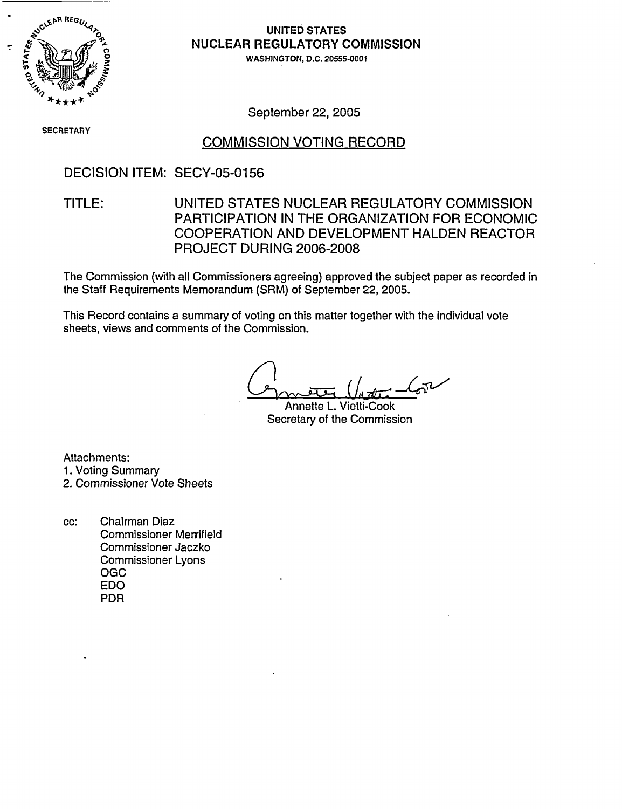

## **NULE** UNITED STATES **NUCLEAR REGULATORY COMMISSION**

) 0WASHINGTON, D.C. 20555-0001

September 22, 2005

SECRETARY

### COMMISSION VOTING RECORD

DECISION ITEM: SECY-05-0156

## TITLE: UNITED STATES NUCLEAR REGULATORY COMMISSION PARTICIPATION IN THE ORGANIZATION FOR ECONOMIC COOPERATION AND DEVELOPMENT HALDEN REACTOR PROJECT DURING 2006-2008

The Commission (with all Commissioners agreeing) approved the subject paper as recorded in the Staff Requirements Memorandum (SRM) of September 22, 2005.

This Record contains a summary of voting on this matter together with the individual vote sheets, views and comments of the Commission.

 $\rightarrow$ 

Annette L. Vietti-Cook Secretary of the Commission

Attachments: 1. Voting Summary

2. Commissioner Vote Sheets

cc: Chairman Diaz Commissioner Merrifield Commissioner Jaczko Commissioner Lyons OGC EDO PDR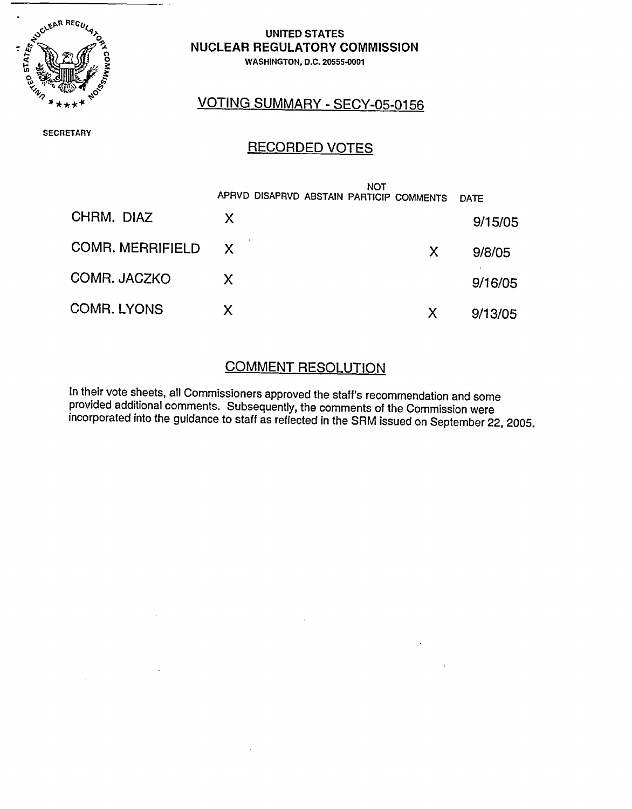

 $=$ 

#### UNITED STATES NUCLEAR REGULATORY COMMISSION WASHINGTON, D.C. 20555-0001

# VOTING SUMMARY - SECY-05-0156

**SECRETARY** 

# RECORDED VOTES

|                         | NOT<br>APRVD DISAPRVD ABSTAIN PARTICIP COMMENTS |   | DATF    |
|-------------------------|-------------------------------------------------|---|---------|
| CHRM. DIAZ              | X.                                              |   | 9/15/05 |
| <b>COMR. MERRIFIELD</b> | $\mathsf{X}$                                    | X | 9/8/05  |
| COMR. JACZKO            | X.                                              |   | 9/16/05 |
| <b>COMR. LYONS</b>      | X                                               | X | 9/13/05 |

# COMMENT RESOLUTION

In their vote sheets, all Commissioners approved the staff's recommendation and some provided additional comments. Subsequently, the comments of the Commission were incorporated into the guidance to staff as reflected in the SRM issued on September 22, 2005.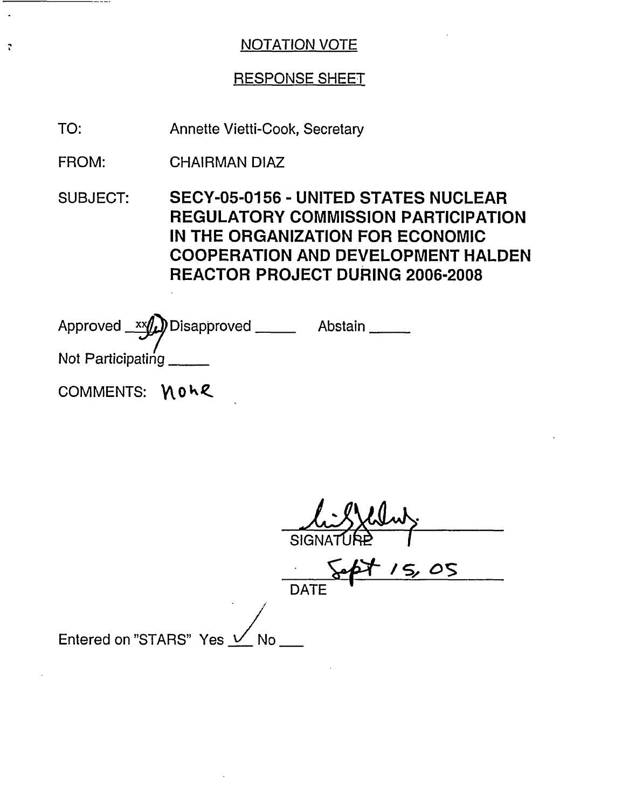### RESPONSE SHEET

Annette Vietti-Cook, Secretary TO:

CHAIRMAN DIAZ FROM:

 $\mathbf{r}$ 

SUBJECT: SECY-05-0156 - UNITED STATES NUCLEAR REGULATORY COMMISSION PARTICIPATION IN THE ORGANIZATION FOR ECONOMIC COOPERATION AND DEVELOPMENT HALDEN REACTOR PROJECT DURING 2006-2008

Approved xx(u)Disapproved \_\_\_\_\_\_ Abstair Not Participating. COMMENTS: **NOLE** 

SIGNATURE 1  $/5,0$ **DATE** Entered on "STARS" Yes  $\frac{1}{10}$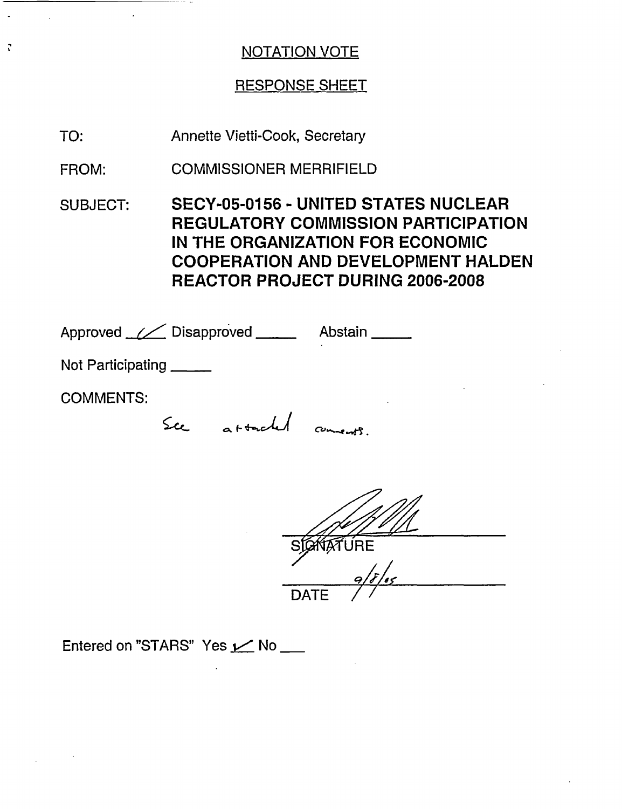## RESPONSE SHEET

Annette Vietti-Cook, Secretary TO:

 $\mathbf{r}$ 

COMMISSIONER MERRIFIELD FROM:

SUBJECT: SECY-05-0156 - UNITED STATES NUCLEAR REGULATORY COMMISSION PARTICIPATION IN THE ORGANIZATION FOR ECONOMIC COOPERATION AND DEVELOPMENT HALDEN REACTOR PROJECT DURING 2006-2008

| Approved <u>// Disapproved</u> |  |                    | Abstain _____ |
|--------------------------------|--|--------------------|---------------|
| Not Participating ____         |  |                    |               |
| <b>COMMENTS:</b>               |  |                    | ٠             |
|                                |  | attached comments. |               |
|                                |  |                    |               |

 $\mathscr{D}$ 

SIGKTATURE DATE /

Entered on "STARS" Yes  $\angle$  No  $\Box$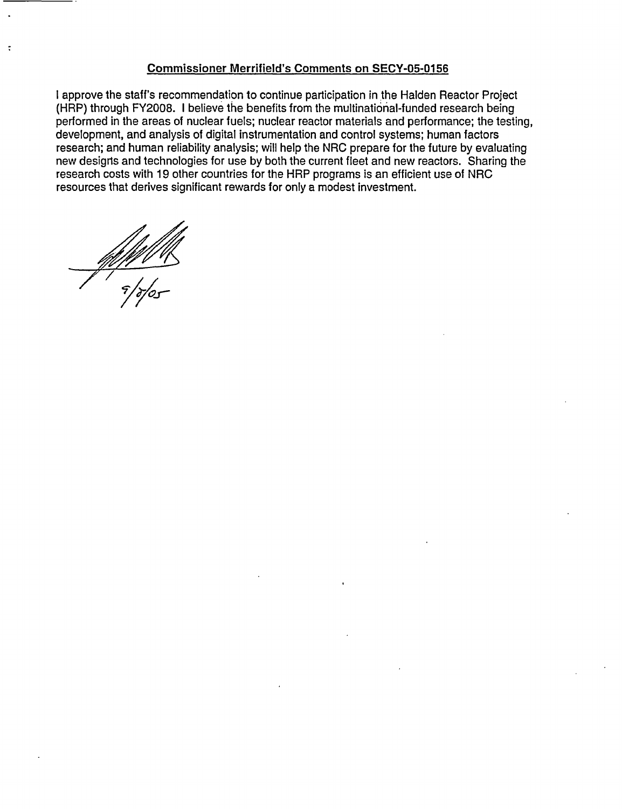#### Commissioner Merrifield's Comments on SECY-05-0156

I approve the staff's recommendation to continue participation in the Halden Reactor Project (HRP) through FY2008. I believe the benefits from the multinational-funded research being performed in the areas of nuclear fuels; nuclear reactor materials and performance; the testing, development, and analysis of digital instrumentation and control systems; human factors research; and human reliability analysis; will help the NRC prepare for the future by evaluating new designs and technologies for use by both the current fleet and new reactors. Sharing the research costs with 19 other countries for the HRP programs is an efficient use of NRC resources that derives significant rewards for only a modest investment.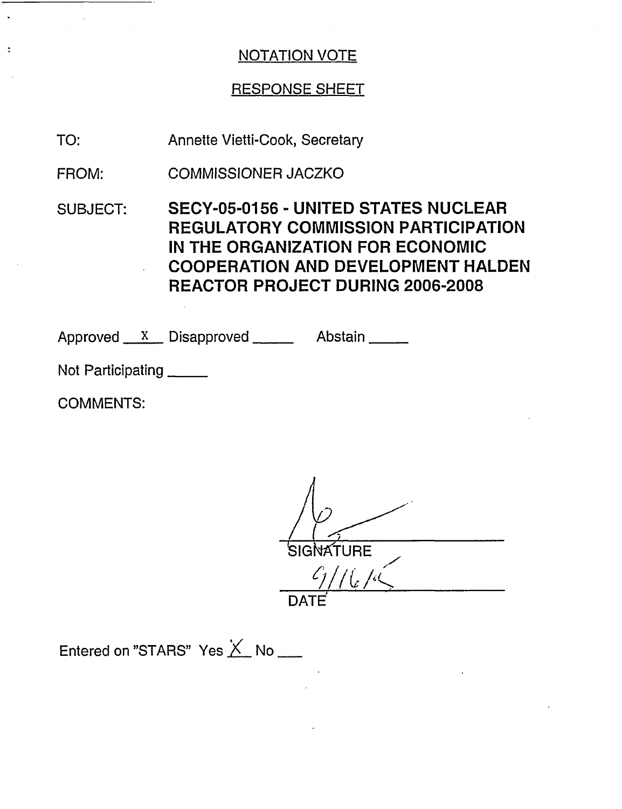# RESPONSE SHEET

Annette Vietti-Cook, Secretary TO:

COMMISSIONER JACZKO FROM:

SUBJECT: SECY-05-0156 - UNITED STATES NUCLEAR REGULATORY COMMISSION PARTICIPATION IN THE ORGANIZATION FOR ECONOMIC COOPERATION AND DEVELOPMENT HALDEN REACTOR PROJECT DURING 2006-2008

Approved X Disapproved Abstain

Not Participating

COMMENTS:

**NATURE** <u>مما / | ک</u> DATE

Entered on "STARS" Yes  $\times$  No \_\_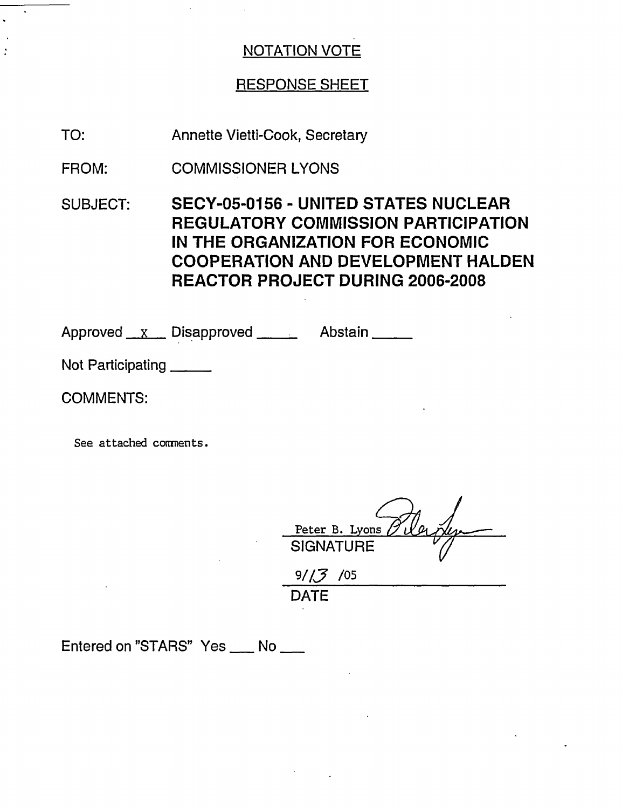#### RESPONSE SHEET

Annette Vietti-Cook, Secretary TO:

COMMISSIONER LYONS FROM:

SUBJECT: SECY-05-0156 - UNITED STATES NUCLEAR REGULATORY COMMISSION PARTICIPATION IN THE ORGANIZATION FOR ECONOMIC COOPERATION AND DEVELOPMENT HALDEN REACTOR PROJECT DURING 2006-2008

Approved x Disapproved Abstain

Not Participating

COMMENTS:

See attached comments.

Peter B. Lyons SIGNATURE

 $9/\sqrt{3}/05$ **DATE** 

Entered on "STARS" Yes \_\_ No \_\_